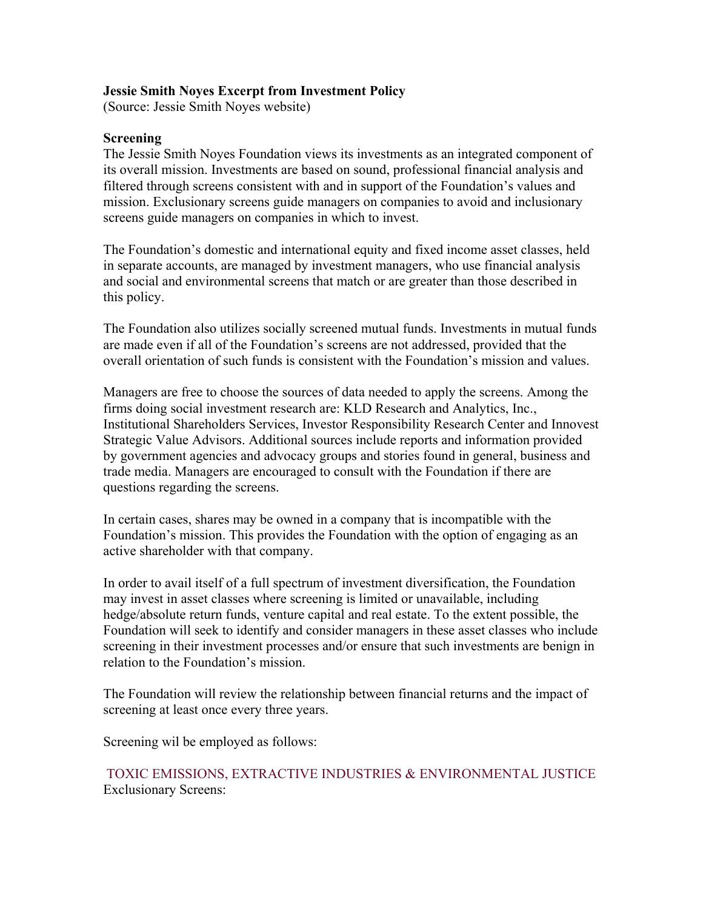### **Jessie Smith Noyes Excerpt from Investment Policy**

(Source: Jessie Smith Noyes website)

#### **Screening**

The Jessie Smith Noyes Foundation views its investments as an integrated component of its overall mission. Investments are based on sound, professional financial analysis and filtered through screens consistent with and in support of the Foundation's values and mission. Exclusionary screens guide managers on companies to avoid and inclusionary screens guide managers on companies in which to invest.

The Foundation's domestic and international equity and fixed income asset classes, held in separate accounts, are managed by investment managers, who use financial analysis and social and environmental screens that match or are greater than those described in this policy.

The Foundation also utilizes socially screened mutual funds. Investments in mutual funds are made even if all of the Foundation's screens are not addressed, provided that the overall orientation of such funds is consistent with the Foundation's mission and values.

Managers are free to choose the sources of data needed to apply the screens. Among the firms doing social investment research are: KLD Research and Analytics, Inc., Institutional Shareholders Services, Investor Responsibility Research Center and Innovest Strategic Value Advisors. Additional sources include reports and information provided by government agencies and advocacy groups and stories found in general, business and trade media. Managers are encouraged to consult with the Foundation if there are questions regarding the screens.

In certain cases, shares may be owned in a company that is incompatible with the Foundation's mission. This provides the Foundation with the option of engaging as an active shareholder with that company.

In order to avail itself of a full spectrum of investment diversification, the Foundation may invest in asset classes where screening is limited or unavailable, including hedge/absolute return funds, venture capital and real estate. To the extent possible, the Foundation will seek to identify and consider managers in these asset classes who include screening in their investment processes and/or ensure that such investments are benign in relation to the Foundation's mission.

The Foundation will review the relationship between financial returns and the impact of screening at least once every three years.

Screening wil be employed as follows:

## TOXIC EMISSIONS, EXTRACTIVE INDUSTRIES & ENVIRONMENTAL JUSTICE Exclusionary Screens: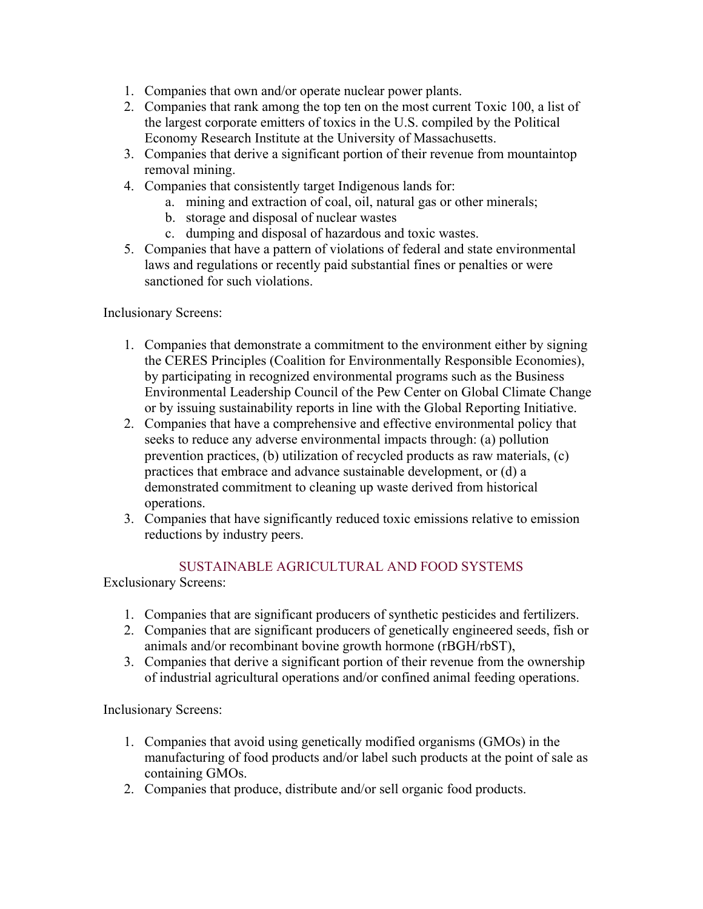- 1. Companies that own and/or operate nuclear power plants.
- 2. Companies that rank among the top ten on the most current Toxic 100, a list of the largest corporate emitters of toxics in the U.S. compiled by the Political Economy Research Institute at the University of Massachusetts.
- 3. Companies that derive a significant portion of their revenue from mountaintop removal mining.
- 4. Companies that consistently target Indigenous lands for:
	- a. mining and extraction of coal, oil, natural gas or other minerals;
	- b. storage and disposal of nuclear wastes
	- c. dumping and disposal of hazardous and toxic wastes.
- 5. Companies that have a pattern of violations of federal and state environmental laws and regulations or recently paid substantial fines or penalties or were sanctioned for such violations.

Inclusionary Screens:

- 1. Companies that demonstrate a commitment to the environment either by signing the CERES Principles (Coalition for Environmentally Responsible Economies), by participating in recognized environmental programs such as the Business Environmental Leadership Council of the Pew Center on Global Climate Change or by issuing sustainability reports in line with the Global Reporting Initiative.
- 2. Companies that have a comprehensive and effective environmental policy that seeks to reduce any adverse environmental impacts through: (a) pollution prevention practices, (b) utilization of recycled products as raw materials, (c) practices that embrace and advance sustainable development, or (d) a demonstrated commitment to cleaning up waste derived from historical operations.
- 3. Companies that have significantly reduced toxic emissions relative to emission reductions by industry peers.

#### SUSTAINABLE AGRICULTURAL AND FOOD SYSTEMS

Exclusionary Screens:

- 1. Companies that are significant producers of synthetic pesticides and fertilizers.
- 2. Companies that are significant producers of genetically engineered seeds, fish or animals and/or recombinant bovine growth hormone (rBGH/rbST),
- 3. Companies that derive a significant portion of their revenue from the ownership of industrial agricultural operations and/or confined animal feeding operations.

Inclusionary Screens:

- 1. Companies that avoid using genetically modified organisms (GMOs) in the manufacturing of food products and/or label such products at the point of sale as containing GMOs.
- 2. Companies that produce, distribute and/or sell organic food products.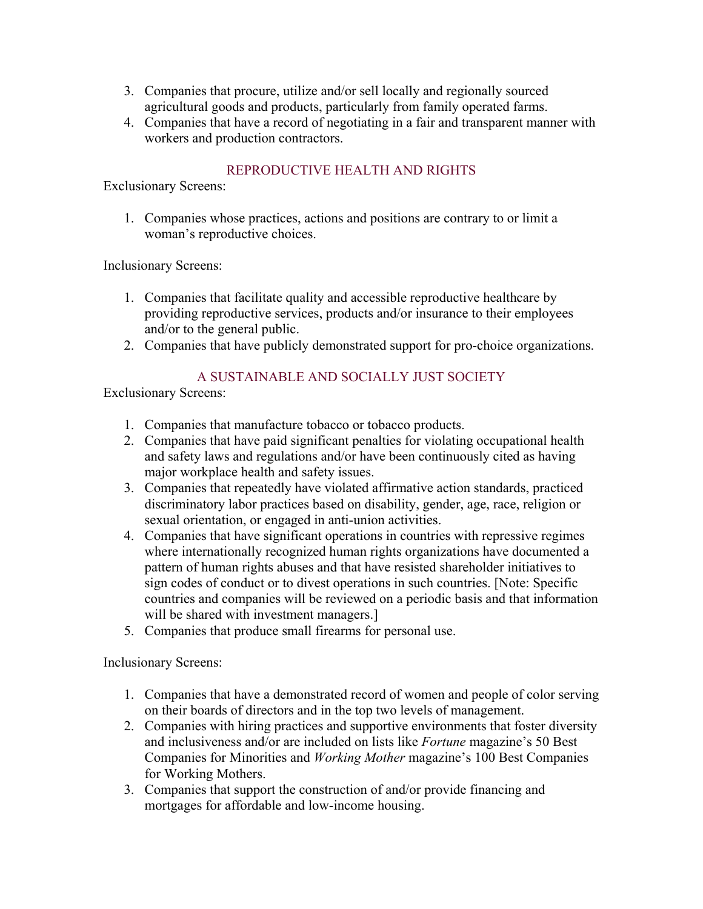- 3. Companies that procure, utilize and/or sell locally and regionally sourced agricultural goods and products, particularly from family operated farms.
- 4. Companies that have a record of negotiating in a fair and transparent manner with workers and production contractors.

# REPRODUCTIVE HEALTH AND RIGHTS

Exclusionary Screens:

1. Companies whose practices, actions and positions are contrary to or limit a woman's reproductive choices.

Inclusionary Screens:

- 1. Companies that facilitate quality and accessible reproductive healthcare by providing reproductive services, products and/or insurance to their employees and/or to the general public.
- 2. Companies that have publicly demonstrated support for pro-choice organizations.

## A SUSTAINABLE AND SOCIALLY JUST SOCIETY

Exclusionary Screens:

- 1. Companies that manufacture tobacco or tobacco products.
- 2. Companies that have paid significant penalties for violating occupational health and safety laws and regulations and/or have been continuously cited as having major workplace health and safety issues.
- 3. Companies that repeatedly have violated affirmative action standards, practiced discriminatory labor practices based on disability, gender, age, race, religion or sexual orientation, or engaged in anti-union activities.
- 4. Companies that have significant operations in countries with repressive regimes where internationally recognized human rights organizations have documented a pattern of human rights abuses and that have resisted shareholder initiatives to sign codes of conduct or to divest operations in such countries. [Note: Specific countries and companies will be reviewed on a periodic basis and that information will be shared with investment managers.
- 5. Companies that produce small firearms for personal use.

Inclusionary Screens:

- 1. Companies that have a demonstrated record of women and people of color serving on their boards of directors and in the top two levels of management.
- 2. Companies with hiring practices and supportive environments that foster diversity and inclusiveness and/or are included on lists like *Fortune* magazine's 50 Best Companies for Minorities and *Working Mother* magazine's 100 Best Companies for Working Mothers.
- 3. Companies that support the construction of and/or provide financing and mortgages for affordable and low-income housing.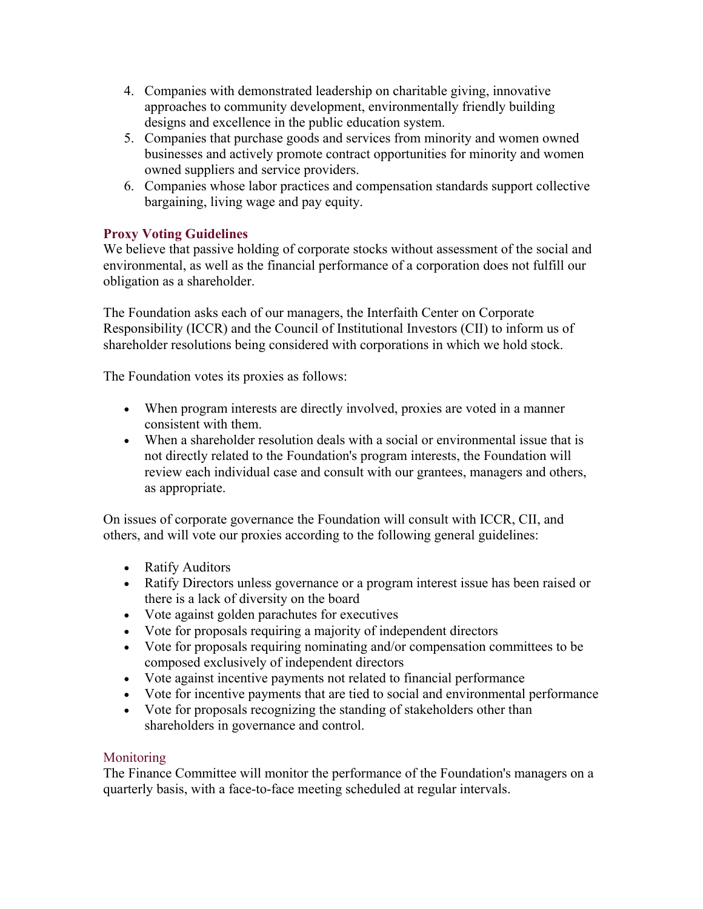- 4. Companies with demonstrated leadership on charitable giving, innovative approaches to community development, environmentally friendly building designs and excellence in the public education system.
- 5. Companies that purchase goods and services from minority and women owned businesses and actively promote contract opportunities for minority and women owned suppliers and service providers.
- 6. Companies whose labor practices and compensation standards support collective bargaining, living wage and pay equity.

# **Proxy Voting Guidelines**

We believe that passive holding of corporate stocks without assessment of the social and environmental, as well as the financial performance of a corporation does not fulfill our obligation as a shareholder.

The Foundation asks each of our managers, the Interfaith Center on Corporate Responsibility (ICCR) and the Council of Institutional Investors (CII) to inform us of shareholder resolutions being considered with corporations in which we hold stock.

The Foundation votes its proxies as follows:

- When program interests are directly involved, proxies are voted in a manner consistent with them.
- When a shareholder resolution deals with a social or environmental issue that is not directly related to the Foundation's program interests, the Foundation will review each individual case and consult with our grantees, managers and others, as appropriate.

On issues of corporate governance the Foundation will consult with ICCR, CII, and others, and will vote our proxies according to the following general guidelines:

- Ratify Auditors
- Ratify Directors unless governance or a program interest issue has been raised or there is a lack of diversity on the board
- Vote against golden parachutes for executives
- Vote for proposals requiring a majority of independent directors
- Vote for proposals requiring nominating and/or compensation committees to be composed exclusively of independent directors
- Vote against incentive payments not related to financial performance
- Vote for incentive payments that are tied to social and environmental performance
- Vote for proposals recognizing the standing of stakeholders other than shareholders in governance and control.

## Monitoring

The Finance Committee will monitor the performance of the Foundation's managers on a quarterly basis, with a face-to-face meeting scheduled at regular intervals.